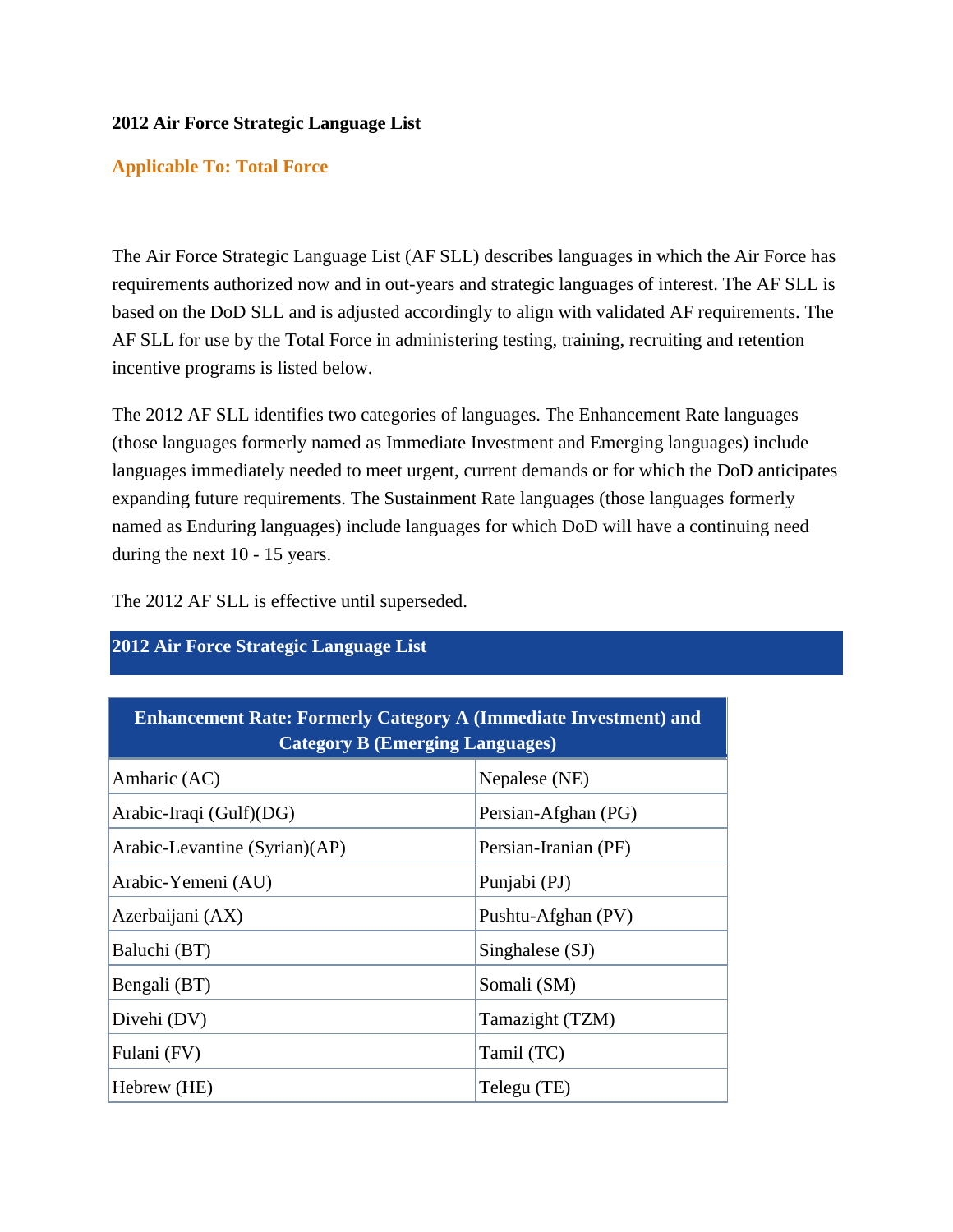## **2012 Air Force Strategic Language List**

## **Applicable To: Total Force**

The Air Force Strategic Language List (AF SLL) describes languages in which the Air Force has requirements authorized now and in out-years and strategic languages of interest. The AF SLL is based on the DoD SLL and is adjusted accordingly to align with validated AF requirements. The AF SLL for use by the Total Force in administering testing, training, recruiting and retention incentive programs is listed below.

The 2012 AF SLL identifies two categories of languages. The Enhancement Rate languages (those languages formerly named as Immediate Investment and Emerging languages) include languages immediately needed to meet urgent, current demands or for which the DoD anticipates expanding future requirements. The Sustainment Rate languages (those languages formerly named as Enduring languages) include languages for which DoD will have a continuing need during the next 10 - 15 years.

The 2012 AF SLL is effective until superseded.

| <b>Enhancement Rate: Formerly Category A (Immediate Investment) and</b><br><b>Category B (Emerging Languages)</b> |                      |  |
|-------------------------------------------------------------------------------------------------------------------|----------------------|--|
| Amharic (AC)                                                                                                      | Nepalese (NE)        |  |
| Arabic-Iraqi (Gulf)(DG)                                                                                           | Persian-Afghan (PG)  |  |
| Arabic-Levantine (Syrian)(AP)                                                                                     | Persian-Iranian (PF) |  |
| Arabic-Yemeni (AU)                                                                                                | Punjabi (PJ)         |  |
| Azerbaijani (AX)                                                                                                  | Pushtu-Afghan (PV)   |  |
| Baluchi (BT)                                                                                                      | Singhalese (SJ)      |  |
| Bengali (BT)                                                                                                      | Somali (SM)          |  |
| Divehi (DV)                                                                                                       | Tamazight (TZM)      |  |
| Fulani (FV)                                                                                                       | Tamil (TC)           |  |
| Hebrew (HE)                                                                                                       | Telegu (TE)          |  |

## **2012 Air Force Strategic Language List**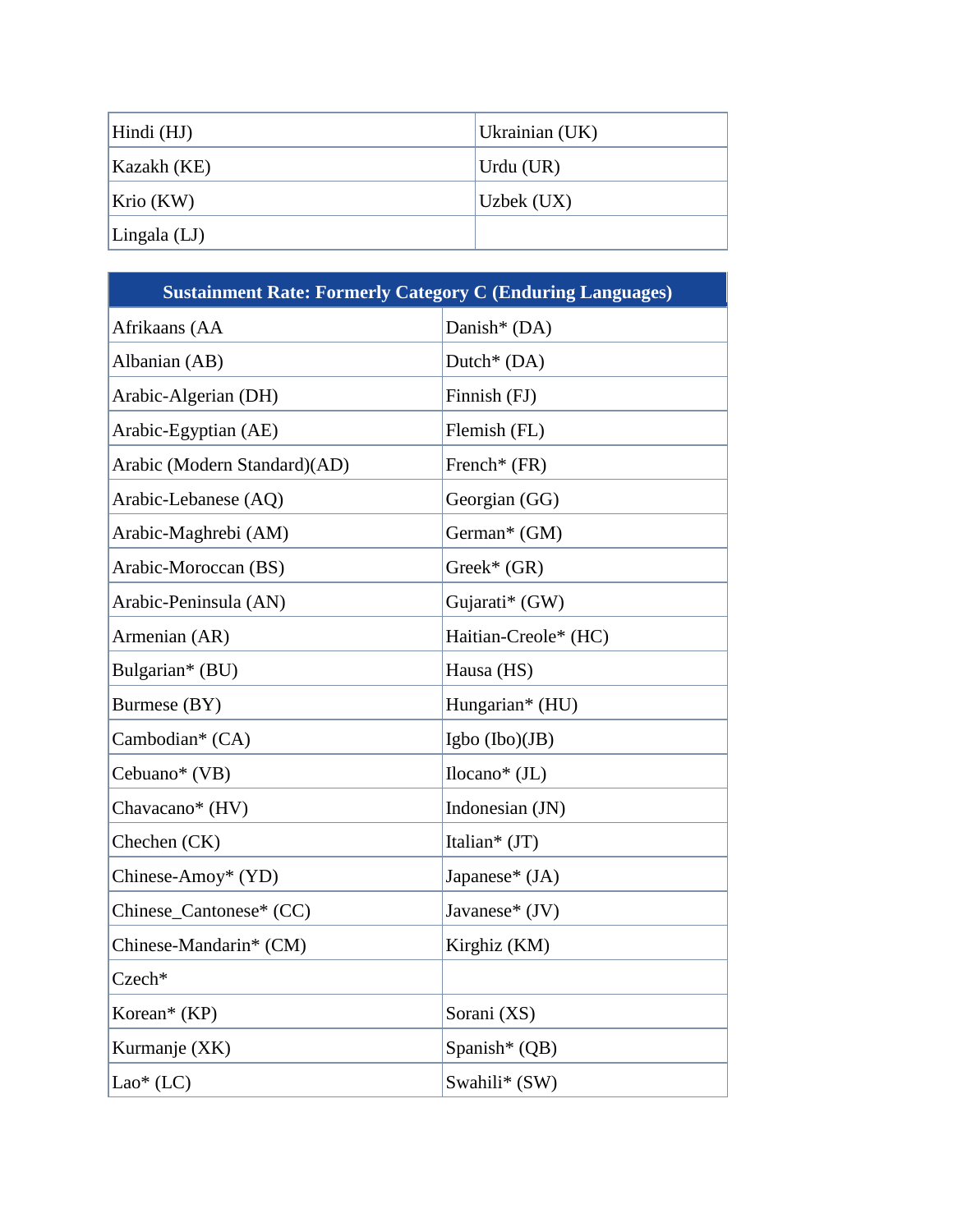| Hindi (HJ)            | Ukrainian (UK) |
|-----------------------|----------------|
| Kazakh (KE)           | Urdu (UR)      |
| Krio (KW)             | Uzbek (UX)     |
| $\text{Lingala (LJ)}$ |                |

| <b>Sustainment Rate: Formerly Category C (Enduring Languages)</b> |                           |  |
|-------------------------------------------------------------------|---------------------------|--|
| Afrikaans (AA                                                     | Danish* (DA)              |  |
| Albanian (AB)                                                     | Dutch <sup>*</sup> $(DA)$ |  |
| Arabic-Algerian (DH)                                              | Finnish (FJ)              |  |
| Arabic-Egyptian (AE)                                              | Flemish (FL)              |  |
| Arabic (Modern Standard)(AD)                                      | French* (FR)              |  |
| Arabic-Lebanese (AQ)                                              | Georgian (GG)             |  |
| Arabic-Maghrebi (AM)                                              | German* (GM)              |  |
| Arabic-Moroccan (BS)                                              | $Greek^*(GR)$             |  |
| Arabic-Peninsula (AN)                                             | Gujarati* (GW)            |  |
| Armenian (AR)                                                     | Haitian-Creole* (HC)      |  |
| Bulgarian* (BU)                                                   | Hausa (HS)                |  |
| Burmese (BY)                                                      | Hungarian* (HU)           |  |
| Cambodian* (CA)                                                   | Igbo $(Ibo)(JB)$          |  |
| Cebuano* (VB)                                                     | $Ilocano^*(JL)$           |  |
| Chavacano* (HV)                                                   | Indonesian (JN)           |  |
| Chechen (CK)                                                      | Italian* (JT)             |  |
| Chinese-Amoy* (YD)                                                | Japanese* (JA)            |  |
| Chinese_Cantonese* (CC)                                           | Javanese* $(JV)$          |  |
| Chinese-Mandarin* (CM)                                            | Kirghiz (KM)              |  |
| Czech*                                                            |                           |  |
| Korean* (KP)                                                      | Sorani (XS)               |  |
| Kurmanje (XK)                                                     | Spanish* (QB)             |  |
| $Lao*(LC)$                                                        | Swahili* (SW)             |  |